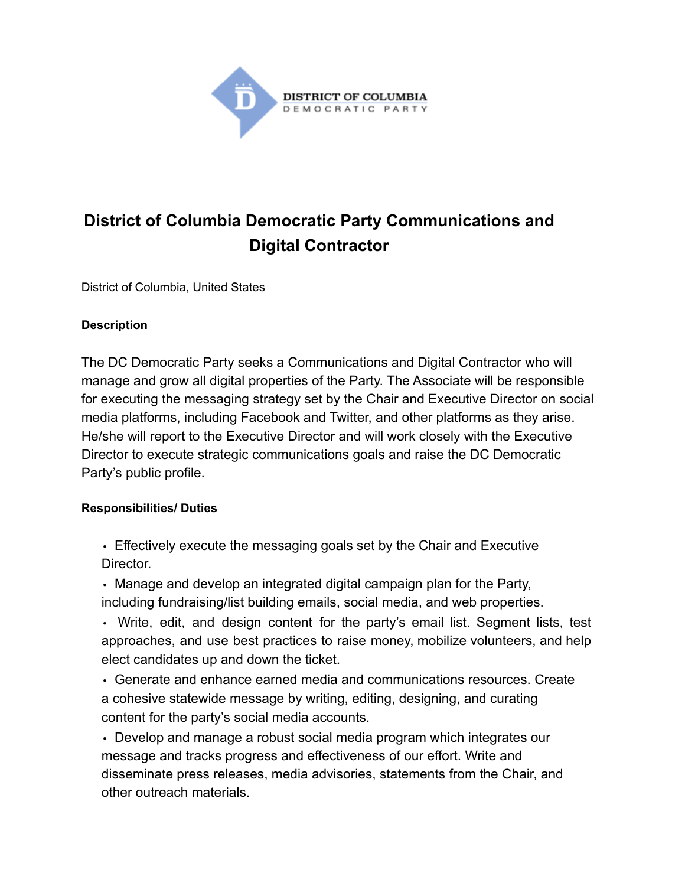

# **District of Columbia Democratic Party Communications and Digital Contractor**

District of Columbia, United States

#### **Description**

The DC Democratic Party seeks a Communications and Digital Contractor who will manage and grow all digital properties of the Party. The Associate will be responsible for executing the messaging strategy set by the Chair and Executive Director on social media platforms, including Facebook and Twitter, and other platforms as they arise. He/she will report to the Executive Director and will work closely with the Executive Director to execute strategic communications goals and raise the DC Democratic Party's public profile.

#### **Responsibilities/ Duties**

• Effectively execute the messaging goals set by the Chair and Executive **Director** 

• Manage and develop an integrated digital campaign plan for the Party, including fundraising/list building emails, social media, and web properties.

• Write, edit, and design content for the party's email list. Segment lists, test approaches, and use best practices to raise money, mobilize volunteers, and help elect candidates up and down the ticket.

• Generate and enhance earned media and communications resources. Create a cohesive statewide message by writing, editing, designing, and curating content for the party's social media accounts.

• Develop and manage a robust social media program which integrates our message and tracks progress and effectiveness of our effort. Write and disseminate press releases, media advisories, statements from the Chair, and other outreach materials.